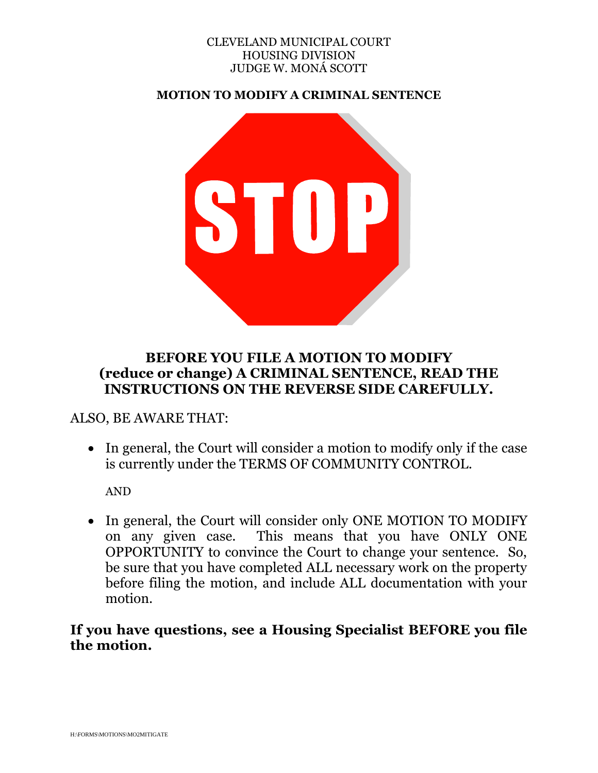#### CLEVELAND MUNICIPAL COURT HOUSING DIVISION JUDGE W. MONÁ SCOTT

**MOTION TO MODIFY A CRIMINAL SENTENCE** 



## **BEFORE YOU FILE A MOTION TO MODIFY (reduce or change) A CRIMINAL SENTENCE, READ THE INSTRUCTIONS ON THE REVERSE SIDE CAREFULLY.**

#### ALSO, BE AWARE THAT:

 In general, the Court will consider a motion to modify only if the case is currently under the TERMS OF COMMUNITY CONTROL.

AND

• In general, the Court will consider only ONE MOTION TO MODIFY on any given case. This means that you have ONLY ONE OPPORTUNITY to convince the Court to change your sentence. So, be sure that you have completed ALL necessary work on the property before filing the motion, and include ALL documentation with your motion.

## **If you have questions, see a Housing Specialist BEFORE you file the motion.**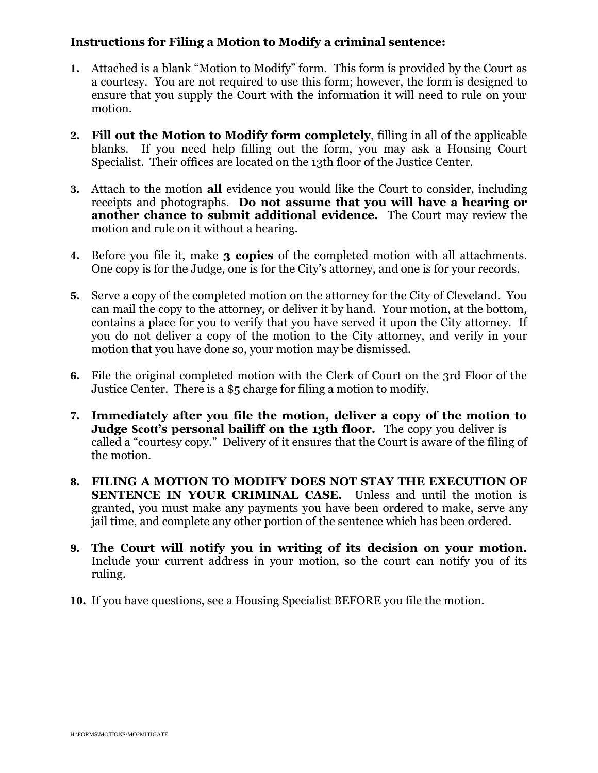#### **Instructions for Filing a Motion to Modify a criminal sentence:**

- **1.** Attached is a blank "Motion to Modify" form. This form is provided by the Court as a courtesy. You are not required to use this form; however, the form is designed to ensure that you supply the Court with the information it will need to rule on your motion.
- **2. Fill out the Motion to Modify form completely**, filling in all of the applicable blanks. If you need help filling out the form, you may ask a Housing Court Specialist. Their offices are located on the 13th floor of the Justice Center.
- **3.** Attach to the motion **all** evidence you would like the Court to consider, including receipts and photographs. **Do not assume that you will have a hearing or another chance to submit additional evidence.** The Court may review the motion and rule on it without a hearing.
- **4.** Before you file it, make **3 copies** of the completed motion with all attachments. One copy is for the Judge, one is for the City's attorney, and one is for your records.
- **5.** Serve a copy of the completed motion on the attorney for the City of Cleveland. You can mail the copy to the attorney, or deliver it by hand. Your motion, at the bottom, contains a place for you to verify that you have served it upon the City attorney. If you do not deliver a copy of the motion to the City attorney, and verify in your motion that you have done so, your motion may be dismissed.
- **6.** File the original completed motion with the Clerk of Court on the 3rd Floor of the Justice Center. There is a \$5 charge for filing a motion to modify.
- **7. Immediately after you file the motion, deliver a copy of the motion to Judge Scott's personal bailiff on the 13th floor.** The copy you deliver is called a "courtesy copy." Delivery of it ensures that the Court is aware of the filing of the motion.
- **8. FILING A MOTION TO MODIFY DOES NOT STAY THE EXECUTION OF SENTENCE IN YOUR CRIMINAL CASE.** Unless and until the motion is granted, you must make any payments you have been ordered to make, serve any jail time, and complete any other portion of the sentence which has been ordered.
- **9. The Court will notify you in writing of its decision on your motion.** Include your current address in your motion, so the court can notify you of its ruling.
- **10.** If you have questions, see a Housing Specialist BEFORE you file the motion.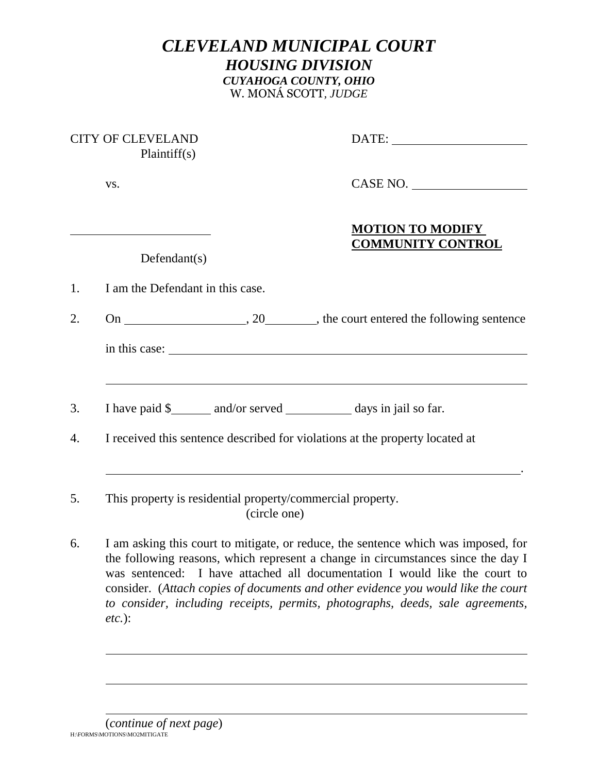# *CLEVELAND MUNICIPAL COURT HOUSING DIVISION CUYAHOGA COUNTY, OHIO*  W. MONÁ SCOTT*, JUDGE*

|    | <b>CITY OF CLEVELAND</b><br>Plaintiff(s)                                     |                                                     |  |
|----|------------------------------------------------------------------------------|-----------------------------------------------------|--|
|    | VS.                                                                          | CASE NO.                                            |  |
|    | Defendant(s)                                                                 | <b>MOTION TO MODIFY</b><br><b>COMMUNITY CONTROL</b> |  |
| 1. | I am the Defendant in this case.                                             |                                                     |  |
| 2. |                                                                              |                                                     |  |
|    |                                                                              |                                                     |  |
| 3. | I have paid \$_________ and/or served ______________ days in jail so far.    |                                                     |  |
| 4. | I received this sentence described for violations at the property located at |                                                     |  |
| 5. | This property is residential property/commercial property.<br>(circle one)   |                                                     |  |

6. I am asking this court to mitigate, or reduce, the sentence which was imposed, for the following reasons, which represent a change in circumstances since the day I was sentenced: I have attached all documentation I would like the court to consider. (*Attach copies of documents and other evidence you would like the court to consider, including receipts, permits, photographs, deeds, sale agreements, etc.*):